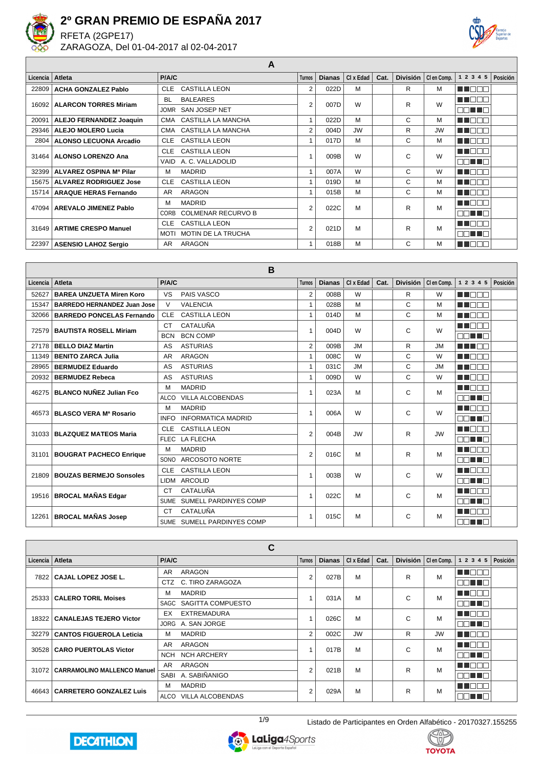

RFETA (2GPE17) ZARAGOZA, Del 01-04-2017 al 02-04-2017



**A**

| Licencia I | Atleta                         | P/A/C       |                           | <b>Turnos</b>  | <b>Dianas</b> | CI x Edad | Cat. | <b>División</b> | CI en Comp. | 1 2 3 4 5     | Posición |
|------------|--------------------------------|-------------|---------------------------|----------------|---------------|-----------|------|-----------------|-------------|---------------|----------|
| 22809      | <b>ACHA GONZALEZ Pablo</b>     | <b>CLE</b>  | <b>CASTILLA LEON</b>      | 2              | 022D          | M         |      | R               | м           | TI DI         |          |
| 16092      | <b>ALARCON TORRES Miriam</b>   | <b>BL</b>   | <b>BALEARES</b>           | $\overline{2}$ | 007D          | W         |      | R               | W           | n a mar       |          |
|            |                                |             | JOMR SAN JOSEP NET        |                |               |           |      |                 |             | וחר<br>a min  |          |
| 20091      | <b>ALEJO FERNANDEZ Joaquin</b> |             | CMA CASTILLA LA MANCHA    |                | 022D          | M         |      | C               | м           | TI FIF        |          |
| 29346      | <b>ALEJO MOLERO Lucia</b>      |             | CMA CASTILLA LA MANCHA    | $\overline{2}$ | 004D          | <b>JW</b> |      | R               | <b>JW</b>   | TI FIT        |          |
| 2804       | <b>ALONSO LECUONA Arcadio</b>  | <b>CLE</b>  | <b>CASTILLA LEON</b>      |                | 017D          | M         |      | C               | M           | TINGEL        |          |
| 31464      | <b>ALONSO LORENZO Ana</b>      | <b>CLE</b>  | <b>CASTILLA LEON</b>      |                | 009B          | W         |      | C               | W           | a na mar      |          |
|            |                                |             | VAID A. C. VALLADOLID     |                |               |           |      |                 |             | TIT EIT       |          |
| 32399      | ALVAREZ OSPINA Mª Pilar        | м           | <b>MADRID</b>             |                | 007A          | W         |      | C               | W           | TITTI         |          |
| 15675 l    | <b>ALVAREZ RODRIGUEZ Jose</b>  | <b>CLE</b>  | <b>CASTILLA LEON</b>      |                | 019D          | M         |      | C               | M           | - III IF      |          |
| 15714      | <b>ARAQUE HERAS Fernando</b>   | AR          | <b>ARAGON</b>             |                | 015B          | M         |      | C               | м           | n din s       |          |
| 47094      | <b>AREVALO JIMENEZ Pablo</b>   | М           | <b>MADRID</b>             | 2              | 022C          | M         |      | R               | M           | TEN           |          |
|            |                                | CORB        | <b>COLMENAR RECURVO B</b> |                |               |           |      |                 |             | 70 L<br>a pop |          |
| 31649      | <b>ARTIME CRESPO Manuel</b>    | <b>CLE</b>  | <b>CASTILLA LEON</b>      | $\overline{2}$ | 021D          | M         |      | R               | M           | N N N N       |          |
|            |                                | <b>MOTI</b> | <b>MOTIN DE LA TRUCHA</b> |                |               |           |      |                 |             | ורור<br>TEF   |          |
| 22397      | <b>ASENSIO LAHOZ Sergio</b>    | AR.         | ARAGON                    |                | 018B          | M         |      | C               | м           | UEDI          |          |

|          |                                    |             | B                          |                |               |           |      |                 |             |             |          |
|----------|------------------------------------|-------------|----------------------------|----------------|---------------|-----------|------|-----------------|-------------|-------------|----------|
| Licencia | Atleta                             | P/A/C       |                            | <b>Turnos</b>  | <b>Dianas</b> | CI x Edad | Cat. | <b>División</b> | CI en Comp. | 1 2 3 4 5   | Posición |
| 52627    | <b>BAREA UNZUETA Miren Koro</b>    | <b>VS</b>   | PAIS VASCO                 | $\overline{2}$ | 008B          | W         |      | R               | W           | n n         |          |
| 15347    | <b>BARREDO HERNANDEZ Juan Jose</b> | $\vee$      | <b>VALENCIA</b>            | $\mathbf{1}$   | 028B          | M         |      | C               | M           | <u>Film</u> |          |
| 32066    | <b>BARREDO PONCELAS Fernando</b>   | CLE         | <b>CASTILLA LEON</b>       | $\mathbf{1}$   | 014D          | M         |      | C               | M           | a pr        |          |
| 72579    | <b>BAUTISTA ROSELL Miriam</b>      | CT          | CATALUÑA                   | $\overline{1}$ | 004D          | W         |      | C               | W           | n in Fil    |          |
|          |                                    | <b>BCN</b>  | <b>BCN COMP</b>            |                |               |           |      |                 |             | nn an T     |          |
| 27178    | <b>BELLO DIAZ Martin</b>           | AS          | <b>ASTURIAS</b>            | $\overline{2}$ | 009B          | <b>JM</b> |      | R               | <b>JM</b>   | n din ne    |          |
| 11349    | <b>BENITO ZARCA Julia</b>          | <b>AR</b>   | ARAGON                     | $\mathbf{1}$   | 008C          | W         |      | C               | W           | a pr        |          |
| 28965    | <b>BERMUDEZ Eduardo</b>            | AS          | <b>ASTURIAS</b>            | $\mathbf{1}$   | 031C          | <b>JM</b> |      | C               | <b>JM</b>   | a ka        |          |
| 20932    | <b>BERMUDEZ Rebeca</b>             | AS          | <b>ASTURIAS</b>            | $\mathbf{1}$   | 009D          | W         |      | C               | W           | a ka        |          |
| 46275    | <b>BLANCO NUÑEZ Julian Fco</b>     | M           | <b>MADRID</b>              | 1              | 023A          | м         |      | C               | М           | a ka        |          |
|          |                                    | <b>ALCO</b> | <b>VILLA ALCOBENDAS</b>    |                |               |           |      |                 |             | mmmmmm      |          |
| 46573    | BLASCO VERA Mª Rosario             | M           | <b>MADRID</b>              | $\overline{1}$ | 006A          | W         |      | C               | W           | MA DI T     |          |
|          |                                    | <b>INFO</b> | <b>INFORMATICA MADRID</b>  |                |               |           |      |                 |             | nn on       |          |
| 31033    | <b>BLAZQUEZ MATEOS Maria</b>       | CLE         | <b>CASTILLA LEON</b>       | $\overline{2}$ | 004B          | <b>JW</b> |      | R               | <b>JW</b>   | I II IN     |          |
|          |                                    | <b>FLEC</b> | <b>LA FLECHA</b>           |                |               |           |      |                 |             | 70 O O      |          |
| 31101    | <b>BOUGRAT PACHECO Enrique</b>     | M           | <b>MADRID</b>              | $\overline{2}$ | 016C          | M         |      | R               | M           | n a mar     |          |
|          |                                    | SONO        | <b>ARCOSOTO NORTE</b>      |                |               |           |      |                 |             | an na m     |          |
| 21809    | <b>BOUZAS BERMEJO Sonsoles</b>     | CLE         | <b>CASTILLA LEON</b>       | $\overline{1}$ | 003B          | W         |      | C               | W           | n din di    |          |
|          |                                    | <b>LIDM</b> | <b>ARCOLID</b>             |                |               |           |      |                 |             | - 11 - 11   |          |
|          | 19516 BROCAL MAÑAS Edgar           | <b>CT</b>   | CATALUÑA                   | 1              | 022C          | M         |      | C               | M           |             |          |
|          |                                    | <b>SUME</b> | SUMELL PARDINYES COMP      |                |               |           |      |                 |             |             |          |
| 12261    | <b>BROCAL MAÑAS Josep</b>          | <b>CT</b>   | CATALUÑA                   | 1              | 015C          | M         |      | C               | M           |             |          |
|          |                                    |             | SUME SUMELL PARDINYES COMP |                |               |           |      |                 |             | ा।<br>a ka  |          |

|                 |                                    |            | C                       |               |               |           |      |                 |             |                  |          |
|-----------------|------------------------------------|------------|-------------------------|---------------|---------------|-----------|------|-----------------|-------------|------------------|----------|
| Licencia Atleta |                                    | P/A/C      |                         | <b>Turnos</b> | <b>Dianas</b> | CI x Edad | Cat. | <b>División</b> | CI en Comp. | 1 2 3 4 5        | Posición |
| 7822            | CAJAL LOPEZ JOSE L.                | AR.        | ARAGON                  | 2             | 027B          | M         |      | R               | M           |                  |          |
|                 |                                    |            | CTZ C. TIRO ZARAGOZA    |               |               |           |      |                 |             | 70 O O           |          |
| 25333           | <b>CALERO TORIL Moises</b>         | M          | <b>MADRID</b>           |               | 031A          | M         |      | C               | M           |                  |          |
|                 |                                    |            | SAGC SAGITTA COMPUESTO  |               |               |           |      |                 |             | ורור<br>n di F   |          |
| 18322           | <b>CANALEJAS TEJERO Victor</b>     | EX         | EXTREMADURA             |               | 026C          | M         |      | C               | M           |                  |          |
|                 |                                    |            | JORG A. SAN JORGE       |               |               |           |      |                 |             | n din sa         |          |
| 32279           | <b>CANTOS FIGUEROLA Leticia</b>    | M          | <b>MADRID</b>           | 2             | 002C          | <b>JW</b> |      | R               | <b>JW</b>   | H.               |          |
| 30528           | <b>CARO PUERTOLAS Victor</b>       | AR.        | ARAGON                  |               | 017B          | M         |      | C               | M           | 88 H H H         |          |
|                 |                                    | <b>NCH</b> | <b>NCH ARCHERY</b>      |               |               |           |      |                 |             | 70 L<br>n pr     |          |
| 31072           | <b>CARRAMOLINO MALLENCO Manuel</b> | AR.        | ARAGON                  | 2             | 021B          | M         |      | R               | M           | Ш                |          |
|                 |                                    |            | SABI A. SABIÑANIGO      |               |               |           |      |                 |             | 70 L<br>a pro    |          |
| 46643           | <b>CARRETERO GONZALEZ Luis</b>     | M          | <b>MADRID</b>           | 2             | 029A          | M         |      | R               | M           | TEN              |          |
|                 |                                    | ALCO       | <b>VILLA ALCOBENDAS</b> |               |               |           |      |                 |             | TN<br>a populati |          |





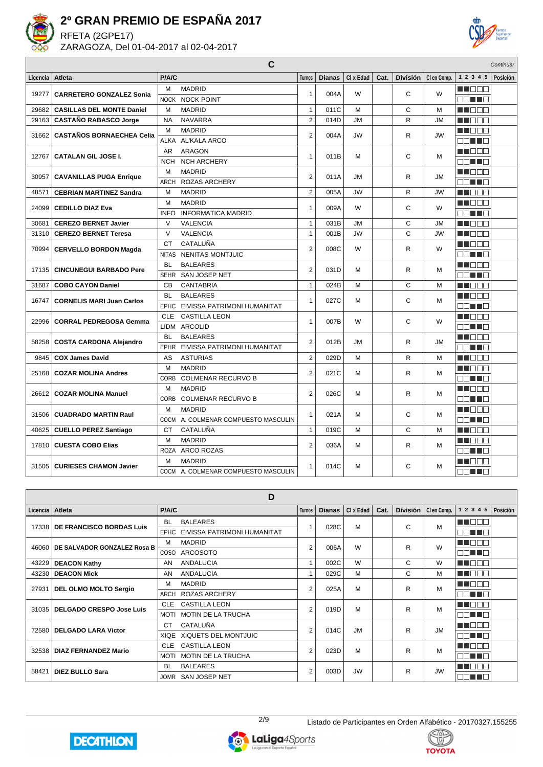

RFETA (2GPE17) ZARAGOZA, Del 01-04-2017 al 02-04-2017



|          |                                  |              | C                                   |                |               |           |      |                 |             |             | Continuar |
|----------|----------------------------------|--------------|-------------------------------------|----------------|---------------|-----------|------|-----------------|-------------|-------------|-----------|
| Licencia | Atleta                           | P/A/C        |                                     | <b>Turnos</b>  | <b>Dianas</b> | CI x Edad | Cat. | <b>División</b> | CI en Comp. | 1 2 3 4 5   | Posición  |
|          |                                  | M            | <b>MADRID</b>                       |                |               | W         |      |                 | W           | MA MARI     |           |
| 19277    | <b>CARRETERO GONZALEZ Sonia</b>  |              | <b>NOCK NOCK POINT</b>              | $\mathbf{1}$   | 004A          |           |      | C               |             | E E HE      |           |
| 29682    | <b>CASILLAS DEL MONTE Daniel</b> | M            | <b>MADRID</b>                       | $\mathbf{1}$   | 011C          | M         |      | C               | M           | M DE B      |           |
| 29163    | <b>CASTAÑO RABASCO Jorge</b>     | <b>NA</b>    | <b>NAVARRA</b>                      | $\overline{2}$ | 014D          | <b>JM</b> |      | R               | <b>JM</b>   | MA DE LA P  |           |
| 31662    | <b>CASTAÑOS BORNAECHEA Celia</b> | M            | <b>MADRID</b>                       | $\overline{2}$ | 004A          | JW        |      | R               | JW          | n i Biblio  |           |
|          |                                  | ALKA         | AL'KALA ARCO                        |                |               |           |      |                 |             | an Ta       |           |
| 12767    | <b>CATALAN GIL JOSE I.</b>       | <b>AR</b>    | <b>ARAGON</b>                       | 1              | 011B          | M         |      | C               | M           | MN O B O    |           |
|          |                                  | <b>NCH</b>   | <b>NCH ARCHERY</b>                  |                |               |           |      |                 |             | an di s     |           |
| 30957    | <b>CAVANILLAS PUGA Enrique</b>   | M            | <b>MADRID</b>                       | $\overline{2}$ | 011A          | <b>JM</b> |      | R               | <b>JM</b>   | N DE E      |           |
|          |                                  | ARCH         | <b>ROZAS ARCHERY</b>                |                |               |           |      |                 |             | e di Tie    |           |
| 48571    | <b>CEBRIAN MARTINEZ Sandra</b>   | M            | <b>MADRID</b>                       | $\overline{2}$ | 005A          | <b>JW</b> |      | R               | JW          | MA OO B     |           |
| 24099    | <b>CEDILLO DIAZ Eva</b>          | M            | <b>MADRID</b>                       | 1              | 009A          | W         |      | C               | W           | M DOO S     |           |
|          |                                  | <b>INFO</b>  | <b>INFORMATICA MADRID</b>           |                |               |           |      |                 |             | an Ta       |           |
| 30681    | <b>CEREZO BERNET Javier</b>      | $\vee$       | <b>VALENCIA</b>                     | 1              | 031B          | <b>JM</b> |      | C               | JM          | ML 888      |           |
| 31310    | <b>CEREZO BERNET Teresa</b>      | $\vee$       | <b>VALENCIA</b>                     | $\mathbf{1}$   | 001B          | <b>JW</b> |      | C               | JW          | NN O B B    |           |
| 70994    | <b>CERVELLO BORDON Magda</b>     | CT           | CATALUÑA                            | $\overline{2}$ | 008C          | W         |      | R               | W           | M NO OO     |           |
|          |                                  | <b>NITAS</b> | <b>NENITAS MONTJUIC</b>             |                |               |           |      |                 |             | E E FIE     |           |
| 17135    | <b>CINCUNEGUI BARBADO Pere</b>   | <b>BL</b>    | <b>BALEARES</b>                     | $\overline{2}$ | 031D          | M         |      | R               | M           | M NO O O    |           |
|          |                                  | <b>SEHR</b>  | SAN JOSEP NET                       |                |               |           |      |                 |             | E E FIE     |           |
| 31687    | <b>COBO CAYON Daniel</b>         | <b>CB</b>    | <b>CANTABRIA</b>                    | $\mathbf{1}$   | 024B          | M         |      | C               | M           | M DOO       |           |
| 16747    | <b>CORNELIS MARI Juan Carlos</b> | <b>BL</b>    | <b>BALEARES</b>                     | 1              | 027C          | м         |      | C               | М           | M DO S      |           |
|          |                                  | <b>EPHC</b>  | EIVISSA PATRIMONI HUMANITAT         |                |               |           |      |                 |             | mini mini m |           |
| 22996    | <b>CORRAL PEDREGOSA Gemma</b>    | <b>CLE</b>   | <b>CASTILLA LEON</b>                | 1              | 007B          | W         |      | C               | W           | M NO D O    |           |
|          |                                  |              | LIDM ARCOLID                        |                |               |           |      |                 |             | 38 T 8      |           |
| 58258    | <b>COSTA CARDONA Alejandro</b>   | <b>BL</b>    | <b>BALEARES</b>                     | $\overline{2}$ | 012B          | <b>JM</b> |      | R               | <b>JM</b>   | THE EN      |           |
|          |                                  | EPHR         | EIVISSA PATRIMONI HUMANITAT         |                |               |           |      |                 |             | 88 T 8      |           |
| 9845     | <b>COX James David</b>           | AS           | <b>ASTURIAS</b>                     | $\overline{2}$ | 029D          | M         |      | R               | M           | MA OO B     |           |
| 25168    | <b>COZAR MOLINA Andres</b>       | M            | <b>MADRID</b>                       | $\overline{2}$ | 021C          | M         |      | R               | M           | N NO BEL    |           |
|          |                                  | <b>CORB</b>  | <b>COLMENAR RECURVO B</b>           |                |               |           |      |                 |             | an Ta       |           |
| 26612    | <b>COZAR MOLINA Manuel</b>       | M            | <b>MADRID</b>                       | $\overline{2}$ | 026C          | м         |      | R               | M           | M DE S      |           |
|          |                                  | CORB         | <b>COLMENAR RECURVO B</b>           |                |               |           |      |                 |             | E E E E     |           |
| 31506    | <b>CUADRADO MARTIN Raul</b>      | M            | <b>MADRID</b>                       | $\mathbf{1}$   | 021A          | м         |      | C               | м           | M D D D O   |           |
|          |                                  | COCM         | A. COLMENAR COMPUESTO MASCULIN      |                |               |           |      |                 |             | 80 T T B    |           |
| 40625    | <b>CUELLO PEREZ Santiago</b>     | <b>CT</b>    | CATALUÑA                            | $\mathbf{1}$   | 019C          | M         |      | C               | M           | n in Eise   |           |
| 17810    | <b>CUESTA COBO Elias</b>         | M            | <b>MADRID</b>                       | $\overline{2}$ | 036A          | M         |      | R               | M           | ME E E E    |           |
|          |                                  | <b>ROZA</b>  | <b>ARCO ROZAS</b>                   |                |               |           |      |                 |             | 88 T 8      |           |
| 31505    | <b>CURIESES CHAMON Javier</b>    | M            | <b>MADRID</b>                       | 1              | 014C          | М         |      | C               | M           | an da ba    |           |
|          |                                  |              | COCM A. COLMENAR COMPUESTO MASCULIN |                |               |           |      |                 |             | 90 T T 8    |           |

**D Licencia Atleta P/A/C Turnos Dianas Cl x Edad Cat. División Cl en Comp. 1 2 3 4 5 Posición** BL BALEARES **HEDDE** 17338 **DE FRANCISCO BORDAS Luis**  $1 \mid 028C \mid M \mid C \mid C$ EPHC EIVISSA PATRIMONI HUMANITAT **DOUND** M MADRID **RECOR** 46060 **DE SALVADOR GONZALEZ Rosa B**  $2 \mid 006A \mid W \mid \cdot \mid R \mid W$ COSO ARCOSOTO **DOMINO** 43229 **DEACON Kathy AN ANDALUCIA** 1 002C W C W **HELLE** 43230 **DEACON Mick** AN ANDALUCIA 1 029C M C M **HIDDD** M MADRID **NNOCO** 27931 **DEL OLMO MOLTO Sergio** 2 025A M J R M ARCH ROZAS ARCHERY **DOM: 0** CLE CASTILLA LEON **TTOO**  $2$  019D M  $R$  M 31035 **DELGADO CRESPO Jose Luis** MOTI MOTIN DE LA TRUCHA **DOM: D** n doo CT CATALUÑA 72580 **DELGADO LARA Victor** 2 | 014C | JM | | | R | JM XIQE XIQUETS DEL MONTJUIC **DOM: 0** CLE CASTILLA LEON **HE**COO 32538 **DIAZ FERNANDEZ Mario** 2 023D | M | | R | M MOTI MOTIN DE LA TRUCHA BL BALEARES Ma Bisa  $2 \mid 003D \mid JW \mid$  R JW 58421 **DIEZ BULLO Sara** JOMR SAN JOSEP NET **OD 10** 







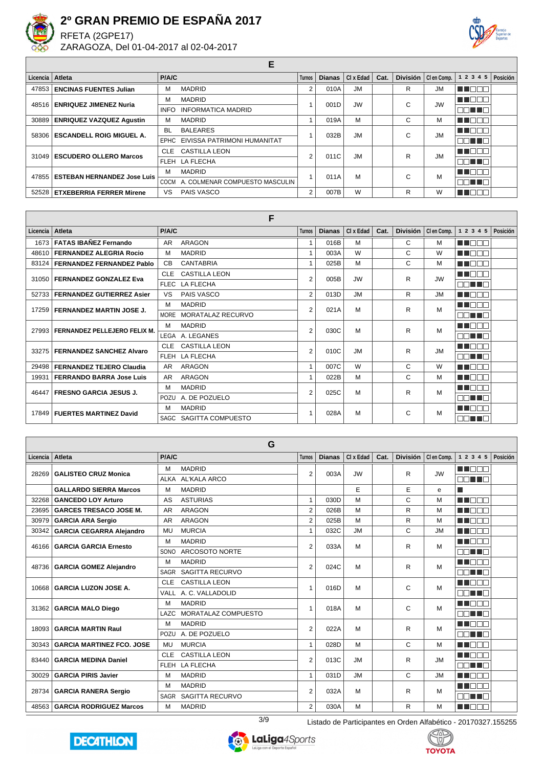

 $\sqrt{ }$ 

## **2º GRAN PREMIO DE ESPAÑA 2017**

RFETA (2GPE17) ZARAGOZA, Del 01-04-2017 al 02-04-2017



**E**

| Licencia Atleta |                                     | P/A/C       |                                  | <b>Turnos</b> | <b>Dianas</b> | Cl X E da d | Cat. |   | División   Clen Comp. | 1 2 3 4 5      | Posición |
|-----------------|-------------------------------------|-------------|----------------------------------|---------------|---------------|-------------|------|---|-----------------------|----------------|----------|
| 47853           | <b>ENCINAS FUENTES Julian</b>       | м           | <b>MADRID</b>                    | 2             | 010A          | <b>JM</b>   |      | R | <b>JM</b>             |                |          |
|                 | 48516   ENRIQUEZ JIMENEZ Nuria      | м           | <b>MADRID</b>                    |               | 001D          | <b>JW</b>   |      | C | <b>JW</b>             | M D O O        |          |
|                 |                                     | <b>INFO</b> | <b>INFORMATICA MADRID</b>        |               |               |             |      |   |                       | 88 T 8         |          |
|                 | 30889   ENRIQUEZ VAZQUEZ Agustin    | м           | <b>MADRID</b>                    |               | 019A          | M           |      | С | М                     |                |          |
|                 | 58306   ESCANDELL ROIG MIGUEL A.    | <b>BL</b>   | <b>BALEARES</b>                  |               | 032B          | <b>JM</b>   |      | C | <b>JM</b>             | a ka           |          |
|                 |                                     |             | EPHC EIVISSA PATRIMONI HUMANITAT |               |               |             |      |   |                       | na na          |          |
|                 | 31049   ESCUDERO OLLERO Marcos      | CLE.        | <b>CASTILLA LEON</b>             | 2             | 011C          | <b>JM</b>   |      | R | <b>JM</b>             |                |          |
|                 |                                     |             | FLEH LA FLECHA                   |               |               |             |      |   |                       | nn nn n        |          |
|                 | 47855   ESTEBAN HERNANDEZ Jose Luis | м           | <b>MADRID</b>                    |               | 011A          | M           |      | C | M                     |                |          |
|                 |                                     | COCM        | A. COLMENAR COMPUESTO MASCULIN   |               |               |             |      |   |                       | MONTE <b>E</b> |          |
|                 | 52528   ETXEBERRIA FERRER Mirene    | VS          | PAIS VASCO                       | 2             | 007B          | W           |      | R | W                     |                |          |

#### **F**

| Licencia | Atleta                           | P/A/C          |                          | <b>Turnos</b>  | <b>Dianas</b> | CI x Edad | Cat. | <b>División</b> | CI en Comp. | 1 2 3 4 5       | Posición |
|----------|----------------------------------|----------------|--------------------------|----------------|---------------|-----------|------|-----------------|-------------|-----------------|----------|
| 1673     | <b>FATAS IBAÑEZ Fernando</b>     | AR.            | ARAGON                   |                | 016B          | M         |      | C               | М           | M DE S          |          |
| 48610    | <b>FERNANDEZ ALEGRIA Rocio</b>   | м              | <b>MADRID</b>            |                | 003A          | W         |      | C               | W           | M DE E          |          |
| 83124    | <b>FERNANDEZ FERNANDEZ Pablo</b> | C <sub>B</sub> | <b>CANTABRIA</b>         |                | 025B          | M         |      | C               | М           | <b>HELL</b>     |          |
| 31050    | <b>FERNANDEZ GONZALEZ Eva</b>    | <b>CLE</b>     | <b>CASTILLA LEON</b>     | $\overline{2}$ | 005B          | <b>JW</b> |      | R               | <b>JW</b>   | n na m          |          |
|          |                                  |                | FLEC LA FLECHA           |                |               |           |      |                 |             | MA TIM          |          |
| 52733    | <b>FERNANDEZ GUTIERREZ Asier</b> | VS             | <b>PAIS VASCO</b>        | $\overline{2}$ | 013D          | <b>JM</b> |      | R               | <b>JM</b>   | N I O O O       |          |
| 17259    | <b>FERNANDEZ MARTIN JOSE J.</b>  | м              | <b>MADRID</b>            | $\overline{2}$ | 021A          | M         |      | R               | M           | n na m          |          |
|          |                                  | <b>MORE</b>    | <b>MORATALAZ RECURVO</b> |                |               |           |      |                 |             | N N N N N       |          |
| 27993    | FERNANDEZ PELLEJERO FELIX M.     | м              | <b>MADRID</b>            | $\overline{2}$ | 030C          | M         |      | R               | M           | n nan           |          |
|          |                                  |                | LEGA A. LEGANES          |                |               |           |      |                 |             | n din se        |          |
| 33275    | <b>FERNANDEZ SANCHEZ Alvaro</b>  | <b>CLE</b>     | <b>CASTILLA LEON</b>     | $\overline{2}$ | 010C          | <b>JM</b> |      | R               | <b>JM</b>   | MN OO O         |          |
|          |                                  |                | FLEH LA FLECHA           |                |               |           |      |                 |             | MO <b>HIL</b> O |          |
| 29498    | <b>FERNANDEZ TEJERO Claudia</b>  | AR             | ARAGON                   | 1              | 007C          | W         |      | C               | W           | M DE S          |          |
| 19931    | <b>FERRANDO BARRA Jose Luis</b>  | AR             | ARAGON                   |                | 022B          | M         |      | C               | М           | MN 888          |          |
| 46447    | <b>FRESNO GARCIA JESUS J.</b>    | м              | <b>MADRID</b>            | $\overline{2}$ | 025C          | M         |      | R               | M           | n na m          |          |
|          |                                  | POZU           | A. DE POZUELO            |                |               |           |      |                 |             | nn nn n         |          |
| 17849    | <b>FUERTES MARTINEZ David</b>    | м              | <b>MADRID</b>            |                | 028A          | M         |      | C               | M           | MUODA           |          |
|          |                                  |                | SAGC SAGITTA COMPUESTO   |                |               |           |      |                 |             | E E LIF         |          |

|          |                                  |             | G                     |                |               |           |      |                 |             |              |          |
|----------|----------------------------------|-------------|-----------------------|----------------|---------------|-----------|------|-----------------|-------------|--------------|----------|
| Licencia | Atleta                           | P/A/C       |                       | <b>Turnos</b>  | <b>Dianas</b> | CI x Edad | Cat. | <b>División</b> | CI en Comp. | 1 2 3 4 5    | Posición |
| 28269    | <b>GALISTEO CRUZ Monica</b>      | M           | <b>MADRID</b>         | $\overline{2}$ | 003A          | <b>JW</b> |      | R               | <b>JW</b>   | M DO B       |          |
|          |                                  | ALKA        | AL'KALA ARCO          |                |               |           |      |                 |             | NN TIN       |          |
|          | <b>GALLARDO SIERRA Marcos</b>    | M           | <b>MADRID</b>         |                |               | E         |      | E               | e           |              |          |
| 32268    | <b>GANCEDO LOY Arturo</b>        | AS          | <b>ASTURIAS</b>       | 1              | 030D          | M         |      | C               | M           | n na mata    |          |
| 23695    | <b>GARCES TRESACO JOSE M.</b>    | AR          | ARAGON                | $\overline{2}$ | 026B          | M         |      | R               | M           | n na m       |          |
| 30979    | <b>GARCIA ARA Sergio</b>         | AR          | ARAGON                | $\overline{2}$ | 025B          | M         |      | R               | M           | <b>RENDE</b> |          |
| 30342    | <b>GARCIA CEGARRA Alejandro</b>  | MU          | <b>MURCIA</b>         | 1              | 032C          | <b>JM</b> |      | C               | <b>JM</b>   | MA DI DI T   |          |
| 46166    | <b>GARCIA GARCIA Ernesto</b>     | M           | <b>MADRID</b>         | $\overline{2}$ | 033A          | M         |      | R               | M           | MA NATI      |          |
|          |                                  | SONO        | ARCOSOTO NORTE        |                |               |           |      |                 |             | MA TITLE     |          |
| 48736    | <b>GARCIA GOMEZ Alejandro</b>    | M           | <b>MADRID</b>         | $\overline{2}$ | 024C          | M         |      | R               | M           | MA DO D      |          |
|          |                                  | SAGR        | SAGITTA RECURVO       |                |               |           |      |                 |             | NN TIN       |          |
| 10668    | <b>GARCIA LUZON JOSE A.</b>      | <b>CLE</b>  | <b>CASTILLA LEON</b>  | 1              | 016D          | M         |      | C               | M           | MA NA T      |          |
|          |                                  |             | VALL A. C. VALLADOLID |                |               |           |      |                 |             | e di line    |          |
| 31362    | <b>GARCIA MALO Diego</b>         | М           | <b>MADRID</b>         | 1              | 018A          | M         |      | C               | M           | M DOO        |          |
|          |                                  | LAZC        | MORATALAZ COMPUESTO   |                |               |           |      |                 |             | nn nn n      |          |
| 18093    | <b>GARCIA MARTIN Raul</b>        | M           | <b>MADRID</b>         | $\overline{2}$ | 022A          | M         |      | R               | M           | n na m       |          |
|          |                                  | POZU        | A. DE POZUELO         |                |               |           |      |                 |             | MA TE        |          |
| 30343    | <b>GARCIA MARTINEZ FCO. JOSE</b> | MU          | <b>MURCIA</b>         | $\mathbf{1}$   | 028D          | M         |      | C               | M           | M DE S       |          |
| 83440    | <b>GARCIA MEDINA Daniel</b>      | CLE         | <b>CASTILLA LEON</b>  | $\overline{2}$ | 013C          | <b>JM</b> |      | R               | <b>JM</b>   | M DO D       |          |
|          |                                  | <b>FLEH</b> | <b>LA FLECHA</b>      |                |               |           |      |                 |             | MA TITLE     |          |
| 30029    | <b>GARCIA PIRIS Javier</b>       | M           | <b>MADRID</b>         | 1              | 031D          | <b>JM</b> |      | C               | <b>JM</b>   | n na mata    |          |
| 28734    | <b>GARCIA RANERA Sergio</b>      | M           | <b>MADRID</b>         | $\overline{2}$ | 032A          | M         |      | R               | м           | N N N N N    |          |
|          |                                  | SAGR        | SAGITTA RECURVO       |                |               |           |      |                 |             | nn i In      |          |
| 48563    | <b>GARCIA RODRIGUEZ Marcos</b>   | М           | <b>MADRID</b>         | $\overline{2}$ | 030A          | M         |      | R               | м           | m m          |          |







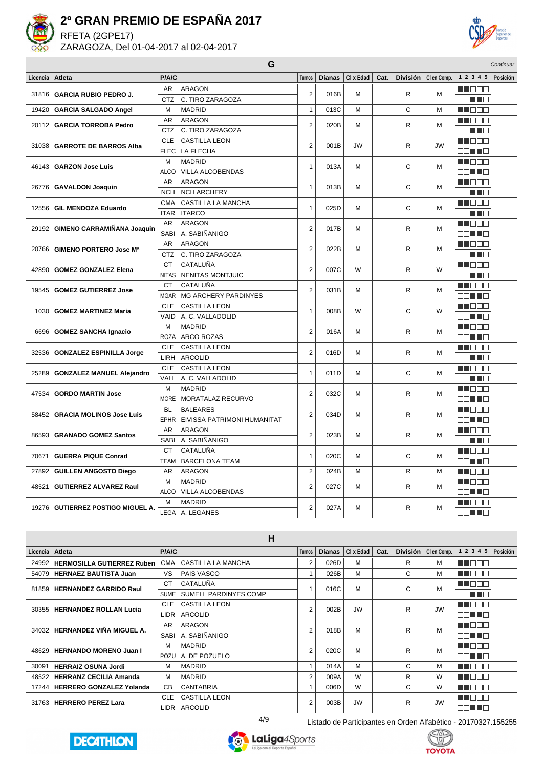

RFETA (2GPE17) ZARAGOZA, Del 01-04-2017 al 02-04-2017



|          |                                    |             | G                                |                |               |           |      |                 |             |               | Continuar |
|----------|------------------------------------|-------------|----------------------------------|----------------|---------------|-----------|------|-----------------|-------------|---------------|-----------|
| Licencia | <b>Atleta</b>                      | P/A/C       |                                  | <b>Turnos</b>  | <b>Dianas</b> | CI x Edad | Cat. | <b>División</b> | CI en Comp. | 1 2 3 4 5     | Posición  |
| 31816    | <b>GARCIA RUBIO PEDRO J.</b>       | AR.         | ARAGON                           | $\overline{2}$ | 016B          | M         |      | R               | M           | HI I E E      |           |
|          |                                    | <b>CTZ</b>  | C. TIRO ZARAGOZA                 |                |               |           |      |                 |             | <b>RITTER</b> |           |
| 19420    | <b>GARCIA SALGADO Angel</b>        | M           | <b>MADRID</b>                    | $\mathbf{1}$   | 013C          | M         |      | C               | M           | MA DE E       |           |
| 20112    | <b>GARCIA TORROBA Pedro</b>        | AR          | <b>ARAGON</b>                    | $\overline{2}$ | 020B          | M         |      | R.              | м           | MA BER        |           |
|          |                                    | <b>CTZ</b>  | C. TIRO ZARAGOZA                 |                |               |           |      |                 |             | MA MARI       |           |
| 31038    | <b>GARROTE DE BARROS Alba</b>      | <b>CLE</b>  | <b>CASTILLA LEON</b>             | $\overline{2}$ | 001B          | JW        |      | R               | <b>JW</b>   | n in Biblio   |           |
|          |                                    |             | FLEC LA FLECHA                   |                |               |           |      |                 |             | E E E E       |           |
| 46143    | <b>GARZON Jose Luis</b>            | M           | <b>MADRID</b>                    | $\mathbf{1}$   | 013A          | M         |      | C               | M           | M DE B        |           |
|          |                                    |             | ALCO VILLA ALCOBENDAS            |                |               |           |      |                 |             | n na ma       |           |
|          | 26776   GAVALDON Joaquin           | AR          | <b>ARAGON</b>                    | $\mathbf{1}$   | 013B          | М         |      | C               | м           | M DOO         |           |
|          |                                    | <b>NCH</b>  | <b>NCH ARCHERY</b>               |                |               |           |      |                 |             | an no         |           |
| 12556    | <b>GIL MENDOZA Eduardo</b>         | <b>CMA</b>  | CASTILLA LA MANCHA               | $\mathbf{1}$   | 025D          | M         |      | C               | M           | n de e        |           |
|          |                                    |             | ITAR ITARCO                      |                |               |           |      |                 |             | an dia        |           |
|          |                                    | AR          | <b>ARAGON</b>                    | $\overline{2}$ | 017B          | M         |      | R               | м           | MI DE E       |           |
| 29192    | GIMENO CARRAMIÑANA Joaquin         | SABI        | A. SABIÑANIGO                    |                |               |           |      |                 |             | an na         |           |
| 20766    | <b>GIMENO PORTERO Jose Ma</b>      | AR          | <b>ARAGON</b>                    | $\overline{2}$ | 022B          | M         |      | R.              | M           | M NOOC        |           |
|          |                                    | <b>CTZ</b>  | C. TIRO ZARAGOZA                 |                |               |           |      |                 |             | an na         |           |
|          |                                    | <b>CT</b>   | CATALUÑA                         | $\overline{2}$ |               | W         |      |                 | W           | n in Biblio   |           |
| 42890    | <b>GOMEZ GONZALEZ Elena</b>        |             | NITAS NENITAS MONTJUIC           |                | 007C          |           |      | R               |             | OO HO         |           |
|          |                                    | <b>CT</b>   | CATALUÑA                         | $\overline{2}$ | 031B          |           |      | R               |             | n i Biblio    |           |
| 19545    | <b>GOMEZ GUTIERREZ Jose</b>        | <b>MGAR</b> | MG ARCHERY PARDINYES             |                |               | М         |      |                 | м           | MA TIMO       |           |
| 1030     | <b>GOMEZ MARTINEZ Maria</b>        | <b>CLE</b>  | <b>CASTILLA LEON</b>             | $\mathbf{1}$   | 008B          | W         |      | С               | W           | n in Biblio   |           |
|          |                                    |             | VAID A. C. VALLADOLID            |                |               |           |      |                 |             | E E HE        |           |
| 6696     |                                    | M           | <b>MADRID</b>                    | $\overline{2}$ | 016A          | M         |      | R               | м           | MA BER        |           |
|          | <b>GOMEZ SANCHA Ignacio</b>        |             | ROZA ARCO ROZAS                  |                |               |           |      |                 |             | an Ta         |           |
|          |                                    | <b>CLE</b>  | <b>CASTILLA LEON</b>             | $\overline{2}$ | 016D          | M         |      | R               | M           | HI DE E       |           |
| 32536    | <b>GONZALEZ ESPINILLA Jorge</b>    |             | LIRH ARCOLID                     |                |               |           |      |                 |             | an no         |           |
| 25289    |                                    | <b>CLE</b>  | <b>CASTILLA LEON</b>             | $\mathbf{1}$   | 011D          |           |      | C               |             | MA BER        |           |
|          | <b>GONZALEZ MANUEL Alejandro</b>   |             | VALL A. C. VALLADOLID            |                |               | М         |      |                 | м           | e din la      |           |
| 47534    | <b>GORDO MARTIN Jose</b>           | M           | <b>MADRID</b>                    | $\overline{2}$ | 032C          | M         |      | R.              | M           | MI DE E       |           |
|          |                                    |             | MORE MORATALAZ RECURVO           |                |               |           |      |                 |             | an no         |           |
|          |                                    | <b>BL</b>   | <b>BALEARES</b>                  | $\overline{2}$ |               |           |      |                 |             | MA BEL        |           |
| 58452    | <b>GRACIA MOLINOS Jose Luis</b>    |             | EPHR EIVISSA PATRIMONI HUMANITAT |                | 034D          | М         |      | R               | м           | MA MARI       |           |
| 86593    | <b>GRANADO GOMEZ Santos</b>        | AR          | <b>ARAGON</b>                    | $\overline{2}$ | 023B          | M         |      | R               | M           | ma masa       |           |
|          |                                    | SABI        | A. SABIÑANIGO                    |                |               |           |      |                 |             | an no         |           |
|          |                                    | <b>CT</b>   | CATALUÑA                         |                |               |           |      |                 |             | MA BEL        |           |
| 70671    | <b>GUERRA PIQUE Conrad</b>         | <b>TEAM</b> | <b>BARCELONA TEAM</b>            | $\mathbf{1}$   | 020C          | M         |      | C               | M           | MA TITLE      |           |
| 27892    | <b>GUILLEN ANGOSTO Diego</b>       | AR          | <b>ARAGON</b>                    | $\overline{2}$ | 024B          | M         |      | R               | M           | N NO DE L     |           |
| 48521    |                                    | M           | <b>MADRID</b>                    | $\overline{2}$ | 027C          |           |      | R               |             | MA OO B       |           |
|          | <b>GUTIERREZ ALVAREZ Raul</b>      | ALCO        | VILLA ALCOBENDAS                 |                |               | М         |      |                 | м           | OO TIO        |           |
|          |                                    | м           | <b>MADRID</b>                    |                |               |           |      |                 |             | MA NA MA      |           |
| 19276    | <b>GUTIERREZ POSTIGO MIGUEL A.</b> |             | LEGA A. LEGANES                  | $\overline{2}$ | 027A          | M         |      | R               | M           | E E HE        |           |

|                 |                                   |                | н                          |                |               |           |      |   |                       |               |          |
|-----------------|-----------------------------------|----------------|----------------------------|----------------|---------------|-----------|------|---|-----------------------|---------------|----------|
| Licencia Atleta |                                   | P/A/C          |                            | <b>Turnos</b>  | <b>Dianas</b> | CI x Edad | Cat. |   | División   Clen Comp. | 1 2 3 4 5     | Posición |
| 24992           | <b>HERMOSILLA GUTIERREZ Ruben</b> | CMA            | CASTILLA LA MANCHA         | 2              | 026D          | M         |      | R | М                     | n de e        |          |
| 54079           | <b>HERNAEZ BAUTISTA Juan</b>      | VS             | PAIS VASCO                 |                | 026B          | M         |      | C | М                     | n i bel       |          |
|                 | 81859   HERNANDEZ GARRIDO Raul    | СT             | CATALUÑA                   |                | 016C          | M         |      | C | M                     | M E E E       |          |
|                 |                                   |                | SUME SUMELL PARDINYES COMP |                |               |           |      |   |                       | <u>EN TER</u> |          |
|                 | 30355   HERNANDEZ ROLLAN Lucia    | <b>CLE</b>     | <b>CASTILLA LEON</b>       | $\overline{2}$ | 002B          | <b>JW</b> |      | R | <b>JW</b>             | <u>HILONO</u> |          |
|                 |                                   | LIDR           | <b>ARCOLID</b>             |                |               |           |      |   |                       | MA TIT        |          |
|                 | 34032 HERNANDEZ VIÑA MIGUEL A.    | AR.            | ARAGON                     | 2              | 018B          | M         |      | R | М                     | man ma        |          |
|                 |                                   | SABI           | A. SABIÑANIGO              |                |               |           |      |   |                       | nn i F        |          |
| 48629           | <b>HERNANDO MORENO Juan I</b>     | м              | <b>MADRID</b>              | 2              | 020C          | M         |      | R | M                     | n nin n       |          |
|                 |                                   | POZU           | A. DE POZUELO              |                |               |           |      |   |                       | man an        |          |
| 30091           | <b>HERRAIZ OSUNA Jordi</b>        | М              | <b>MADRID</b>              | $\overline{A}$ | 014A          | M         |      | C | М                     | n na Bibli    |          |
| 48522           | <b>HERRANZ CECILIA Amanda</b>     | м              | <b>MADRID</b>              | $\overline{2}$ | 009A          | W         |      | R | W                     | M DE B        |          |
|                 | 17244   HERRERO GONZALEZ Yolanda  | C <sub>B</sub> | <b>CANTABRIA</b>           |                | 006D          | W         |      | C | W                     | M DE S        |          |
|                 | 31763   HERRERO PEREZ Lara        | <b>CLE</b>     | <b>CASTILLA LEON</b>       | 2              | 003B          | <b>JW</b> |      | R | <b>JW</b>             | n de s        |          |
|                 |                                   | LIDR           | <b>ARCOLID</b>             |                |               |           |      |   |                       | NN TIN        |          |







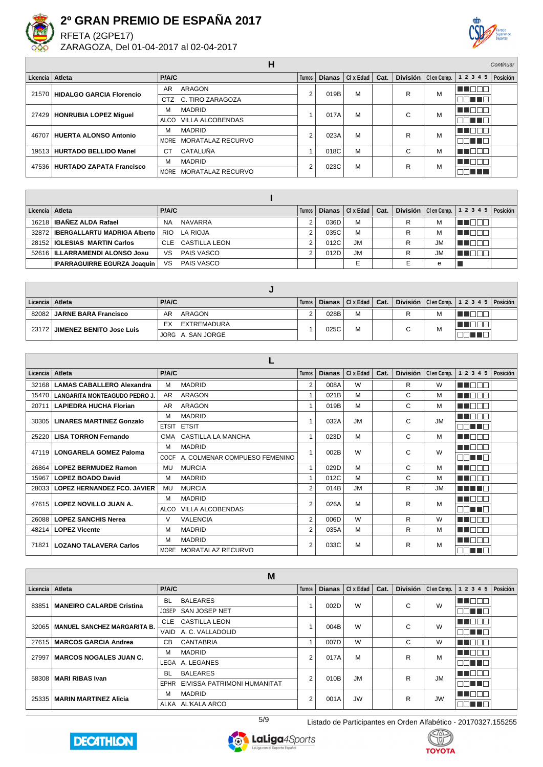

RFETA (2GPE17) ZARAGOZA, Del 01-04-2017 al 02-04-2017



|          |                                  |           | п                       |        |               |           |      |                 |             |             | Continuar |
|----------|----------------------------------|-----------|-------------------------|--------|---------------|-----------|------|-----------------|-------------|-------------|-----------|
| Licencia | Atleta                           | P/A/C     |                         | Turnos | <b>Dianas</b> | CI x Edad | Cat. | <b>División</b> | CI en Comp. | 1 2 3 4 5   | Posición  |
|          | 21570   HIDALGO GARCIA Florencio | AR        | ARAGON                  | 2      | 019B          | M         |      | R               | M           | 11 E E C    |           |
|          |                                  |           | CTZ C. TIRO ZARAGOZA    |        |               |           |      |                 |             | nn i<br>T F |           |
| 27429    | HONRUBIA LOPEZ Miquel            | м         | <b>MADRID</b>           |        | 017A          | M         |      | С               | M           | N N N N O   |           |
|          |                                  | ALCO      | <b>VILLA ALCOBENDAS</b> |        |               |           |      |                 |             | THE L       |           |
| 46707    | HUERTA ALONSO Antonio            | М         | <b>MADRID</b>           | 2      | 023A          | M         |      | R               | M           | MA MAT      |           |
|          |                                  |           | MORE MORATALAZ RECURVO  |        |               |           |      |                 |             | u u n       |           |
|          | 19513   HURTADO BELLIDO Manel    | <b>CT</b> | CATALUÑA                |        | 018C          | M         |      | С               | M           |             |           |
|          | 47536 HURTADO ZAPATA Francisco   | M         | <b>MADRID</b>           | 2      | 023C          | M         |      | R               | M           | n na m      |           |
|          |                                  | MORE      | MORATALAZ RECURVO       |        |               |           |      |                 |             | T DI        |           |

| Licencia   Atleta |                                      | P/A/C     |                   | Turnos I |      | Dianas $ Clx$ Edad $ Cat.$ |   |           | División   Clen Comp. $\vert$ 1 2 3 4 5   Posición |  |
|-------------------|--------------------------------------|-----------|-------------------|----------|------|----------------------------|---|-----------|----------------------------------------------------|--|
|                   | 16218   IBAÑEZ ALDA Rafael           | <b>NA</b> | NAVARRA           |          | 036D | M                          | R | М         |                                                    |  |
|                   | 32872   IBERGALLARTU MADRIGA Alberto |           | RIO LA RIOJA      |          | 035C | М                          | R | М         |                                                    |  |
|                   | 28152   IGLESIAS MARTIN Carlos       |           | CLE CASTILLA LEON |          | 012C | <b>JM</b>                  | R | <b>JM</b> |                                                    |  |
|                   | 52616   ILLARRAMENDI ALONSO Josu     | VS.       | PAIS VASCO        |          | 012D | <b>JM</b>                  | R | <b>JM</b> |                                                    |  |
|                   | IPARRAGUIRRE EGURZA Joaquin          | VS.       | PAIS VASCO        |          |      |                            |   | е         |                                                    |  |

| Licencia   Atleta |                                | <b>P/A/C</b>      | Turnos I |      | Dianas   CI x Edad   Cat. |    |   | División $ $ Clen Comp. $ 12345 $ Posición |  |
|-------------------|--------------------------------|-------------------|----------|------|---------------------------|----|---|--------------------------------------------|--|
|                   | 82082 JARNE BARA Francisco     | ARAGON<br>AR      |          | 028B | M                         |    | M |                                            |  |
|                   | 23172 JIMENEZ BENITO Jose Luis | EX<br>EXTREMADURA |          | 025C | M                         | C. | M |                                            |  |
|                   |                                | JORG A. SAN JORGE |          |      |                           |    |   |                                            |  |

| Licencia I | Atleta                             | P/A/C        |                               | <b>Turnos</b>  | <b>Dianas</b> | CI x Edad | Cat. | <b>División</b> | CI en Comp. | 1 2 3 4 5 | Posición |
|------------|------------------------------------|--------------|-------------------------------|----------------|---------------|-----------|------|-----------------|-------------|-----------|----------|
| 32168      | <b>LAMAS CABALLERO Alexandra</b>   | м            | <b>MADRID</b>                 | $\overline{2}$ | 008A          | W         |      | R               | W           | a de Esta |          |
| 15470      | LANGARITA MONTEAGUDO PEDRO J.      | AR.          | <b>ARAGON</b>                 |                | 021B          | M         |      | C               | M           | MI DE E   |          |
| 20711      | <b>LAPIEDRA HUCHA Florian</b>      | AR.          | <b>ARAGON</b>                 |                | 019B          | M         |      | C               | M           | u nool    |          |
| 30305      | <b>LINARES MARTINEZ Gonzalo</b>    | М            | <b>MADRID</b>                 |                | 032A          | <b>JM</b> |      | C               | <b>JM</b>   | N N N N   |          |
|            |                                    | <b>ETSIT</b> | <b>ETSIT</b>                  |                |               |           |      |                 |             | TELET     |          |
| 25220      | <b>LISA TORRON Fernando</b>        |              | CMA CASTILLA LA MANCHA        |                | 023D          | M         |      | C               | м           | u maan    |          |
| 47119      | <b>LONGARELA GOMEZ Paloma</b>      | М            | <b>MADRID</b>                 |                | 002B          | W         |      | C               | W           | MA O O O  |          |
|            |                                    | COCF         | A. COLMENAR COMPUESO FEMENINO |                |               |           |      |                 |             | 38 T 8    |          |
| 26864      | <b>LOPEZ BERMUDEZ Ramon</b>        | MU           | <b>MURCIA</b>                 |                | 029D          | M         |      | C               | M           | N N N N   |          |
| 15967      | <b>LOPEZ BOADO David</b>           | M            | <b>MADRID</b>                 |                | 012C          | M         |      | C               | M           | TEOL      |          |
| 28033      | <b>LOPEZ HERNANDEZ FCO. JAVIER</b> | MU           | <b>MURCIA</b>                 | 2              | 014B          | <b>JM</b> |      | R               | <b>JM</b>   | T NE DE   |          |
| 47615      | LOPEZ NOVILLO JUAN A.              | м            | <b>MADRID</b>                 | $\overline{2}$ | 026A          | M         |      | R               | M           | TITOOO    |          |
|            |                                    | ALCO         | <b>VILLA ALCOBENDAS</b>       |                |               |           |      |                 |             | TELELT    |          |
| 26088      | <b>LOPEZ SANCHIS Nerea</b>         | $\vee$       | <b>VALENCIA</b>               | 2              | 006D          | W         |      | R               | W           | N E E E   |          |
| 48214      | <b>LOPEZ Vicente</b>               | м            | <b>MADRID</b>                 | $\overline{2}$ | 035A          | M         |      | R               | M           | M O O O   |          |
| 71821      | LOZANO TALAVERA Carlos             | м            | <b>MADRID</b>                 | 2              | 033C          | M         |      | R               | M           | N 880     |          |
|            |                                    |              | MORE MORATALAZ RECURVO        |                |               |           |      |                 |             | 30 L L    |          |

|                   |                                    |              | M                           |                |               |             |      |   |                       |                                |  |
|-------------------|------------------------------------|--------------|-----------------------------|----------------|---------------|-------------|------|---|-----------------------|--------------------------------|--|
| Licencia   Atleta |                                    | P/A/C        |                             | <b>Turnos</b>  | <b>Dianas</b> | $Cl x$ Edad | Cat. |   | División   Clen Comp. | $1 \t2 \t3 \t4 \t5   Position$ |  |
| 83851             | <b>MANEIRO CALARDE Cristina</b>    | <b>BL</b>    | <b>BALEARES</b>             |                | 002D          | W           |      | C | W                     | MN 888                         |  |
|                   |                                    | <b>JOSEP</b> | SAN JOSEP NET               |                |               |             |      |   |                       | 70 O O                         |  |
| 32065             | <b>MANUEL SANCHEZ MARGARITA B.</b> | <b>CLE</b>   | <b>CASTILLA LEON</b>        |                | 004B          | W           |      | C | W                     | n de e                         |  |
|                   |                                    |              | VAID A. C. VALLADOLID       |                |               |             |      |   |                       | NN TIL                         |  |
| 27615             | <b>MARCOS GARCIA Andrea</b>        | СB           | CANTABRIA                   |                | 007D          | W           |      | C | W                     | MN 888                         |  |
| 27997             | <b>MARCOS NOGALES JUAN C.</b>      | M            | <b>MADRID</b>               | 2              | 017A          | M           |      | R | M                     | <b>THEER</b>                   |  |
|                   |                                    |              | LEGA A. LEGANES             |                |               |             |      |   |                       | ورود والمالي                   |  |
| 58308             | <b>MARI RIBAS Ivan</b>             | <b>BL</b>    | <b>BALEARES</b>             | 2              | 010B          | <b>JM</b>   |      | R | <b>JM</b>             | MT OOC                         |  |
|                   |                                    | EPHR         | EIVISSA PATRIMONI HUMANITAT |                |               |             |      |   |                       | NN TN                          |  |
| 25335             | <b>MARIN MARTINEZ Alicia</b>       | м            | <b>MADRID</b>               | $\overline{2}$ | 001A          | <b>JW</b>   |      | R | <b>JW</b>             | n na m                         |  |
|                   |                                    |              | ALKA AL'KALA ARCO           |                |               |             |      |   |                       | 70 U C                         |  |





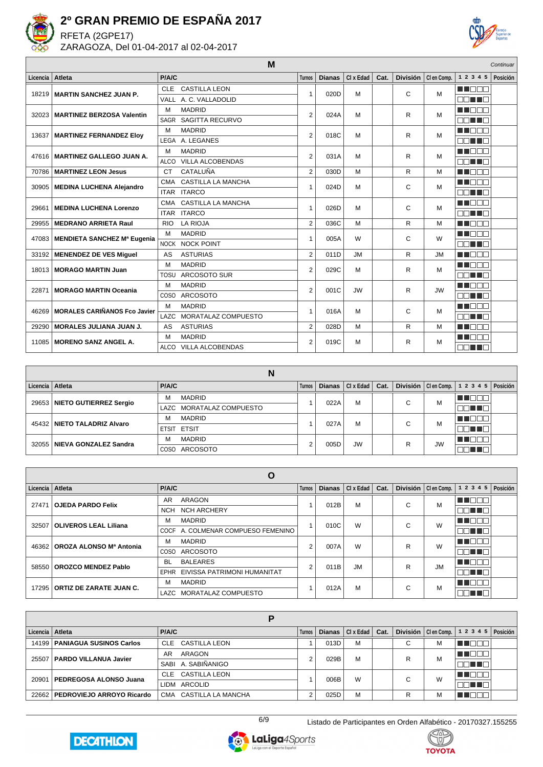

RFETA (2GPE17) ZARAGOZA, Del 01-04-2017 al 02-04-2017



|          |                                     | M                                       |                |               |           |      |   |                       |               | Continuar |
|----------|-------------------------------------|-----------------------------------------|----------------|---------------|-----------|------|---|-----------------------|---------------|-----------|
| Licencia | Atleta                              | P/A/C                                   | <b>Turnos</b>  | <b>Dianas</b> | CI x Edad | Cat. |   | División   Clen Comp. | 1 2 3 4 5     | Posición  |
| 18219    | <b>MARTIN SANCHEZ JUAN P.</b>       | <b>CASTILLA LEON</b><br><b>CLE</b>      | 1              | 020D          | M         |      | C | M                     | MT DE A       |           |
|          |                                     | A. C. VALLADOLID<br>VALL                |                |               |           |      |   |                       | ma mata       |           |
| 32023    | <b>MARTINEZ BERZOSA Valentin</b>    | <b>MADRID</b><br>м                      | $\overline{2}$ | 024A          | M         |      | R | M                     | <b>READER</b> |           |
|          |                                     | SAGITTA RECURVO<br>SAGR                 |                |               |           |      |   |                       | MA TITULI     |           |
| 13637    | <b>MARTINEZ FERNANDEZ Eloy</b>      | <b>MADRID</b><br>M                      | $\overline{2}$ | 018C          | M         |      | R | M                     | n in min      |           |
|          |                                     | A. LEGANES<br>LEGA                      |                |               |           |      |   |                       | EN TER        |           |
| 47616    | <b>MARTINEZ GALLEGO JUAN A.</b>     | <b>MADRID</b><br>M                      | $\overline{2}$ | 031A          | M         |      | R | M                     | n na sa       |           |
|          |                                     | <b>VILLA ALCOBENDAS</b><br><b>ALCO</b>  |                |               |           |      |   |                       | NN TIN        |           |
| 70786    | <b>MARTINEZ LEON Jesus</b>          | CATALUÑA<br><b>CT</b>                   | $\overline{2}$ | 030D          | M         |      | R | M                     | n na m        |           |
| 30905    | <b>MEDINA LUCHENA Alejandro</b>     | CASTILLA LA MANCHA<br>CMA               | 1              | 024D          | M         |      | C | M                     | n nana        |           |
|          |                                     | <b>ITARCO</b><br><b>ITAR</b>            |                |               |           |      |   |                       | na ma         |           |
| 29661    | <b>MEDINA LUCHENA Lorenzo</b>       | <b>CASTILLA LA MANCHA</b><br><b>CMA</b> | $\mathbf{1}$   | 026D          | M         |      | C | M                     | <b>READER</b> |           |
|          |                                     | <b>ITAR ITARCO</b>                      |                |               |           |      |   |                       | ma mata       |           |
| 29955    | <b>MEDRANO ARRIETA Raul</b>         | <b>LA RIOJA</b><br><b>RIO</b>           | $\overline{2}$ | 036C          | M         |      | R | M                     | M DE E        |           |
| 47083    | <b>MENDIETA SANCHEZ Mª Eugenia</b>  | <b>MADRID</b><br>M                      | $\mathbf{1}$   | 005A          | W         |      | C | W                     | HE DOO        |           |
|          |                                     | <b>NOCK</b><br><b>NOCK POINT</b>        |                |               |           |      |   |                       | MA TITA       |           |
| 33192    | <b>MENENDEZ DE VES Miguel</b>       | AS<br><b>ASTURIAS</b>                   | $\overline{2}$ | 011D          | <b>JM</b> |      | R | <b>JM</b>             | TTE EE        |           |
| 18013    | <b>MORAGO MARTIN Juan</b>           | <b>MADRID</b><br>м                      | $\overline{2}$ | 029C          | M         |      | R | M                     | n nann        |           |
|          |                                     | ARCOSOTO SUR<br>TOSU                    |                |               |           |      |   |                       | E E FE        |           |
| 22871    | <b>MORAGO MARTIN Oceania</b>        | <b>MADRID</b><br>M                      | $\overline{2}$ | 001C          | <b>JW</b> |      | R | <b>JW</b>             | MA DEL P      |           |
|          |                                     | <b>ARCOSOTO</b><br>COSO                 |                |               |           |      |   |                       | E FILMER      |           |
| 46269    | <b>MORALES CARIÑANOS Fco Javier</b> | <b>MADRID</b><br>м                      | 1              | 016A          | м         |      | C | M                     | M E E E       |           |
|          |                                     | MORATALAZ COMPUESTO<br>LAZC             |                |               |           |      |   |                       | NN TIN        |           |
| 29290    | <b>MORALES JULIANA JUAN J.</b>      | <b>ASTURIAS</b><br>AS                   | $\overline{2}$ | 028D          | M         |      | R | M                     | <b>REFERE</b> |           |
| 11085    | <b>MORENO SANZ ANGEL A.</b>         | <b>MADRID</b><br>M                      | $\overline{2}$ | 019C          | M         |      | R | M                     | n in min      |           |
|          |                                     | ALCO<br><b>VILLA ALCOBENDAS</b>         |                |               |           |      |   |                       | mini mini m   |           |

|                   |                               |              | N                        |               |               |                  |      |                 |    |                         |          |
|-------------------|-------------------------------|--------------|--------------------------|---------------|---------------|------------------|------|-----------------|----|-------------------------|----------|
| Licencia   Atleta |                               | <b>P/A/C</b> |                          | <b>Turnos</b> | <b>Dianas</b> | $Cl \times$ Edad | Cat. | <b>División</b> |    | $ $ Clen Comp. $ 12345$ | Posición |
|                   | 29653 NIETO GUTIERREZ Sergio  | м            | <b>MADRID</b>            |               | 022A          | M                |      | C               | M  |                         |          |
|                   |                               |              | LAZC MORATALAZ COMPUESTO |               |               |                  |      |                 |    |                         |          |
|                   | 45432   NIETO TALADRIZ Alvaro | м            | MADRID                   |               | 027A          | M                |      | C               | М  |                         |          |
|                   |                               |              | ETSIT ETSIT              |               |               |                  |      |                 |    |                         |          |
|                   | 32055 NIEVA GONZALEZ Sandra   | м            | <b>MADRID</b>            | 2             | 005D          | <b>JW</b>        |      | R               | JW |                         |          |
|                   |                               | <b>COSO</b>  | ARCOSOTO                 |               |               |                  |      |                 |    |                         |          |

| Licencia   Atleta |                                | P/A/C       |                                    | <b>Turnos</b> | <b>Dianas</b> | CI x Edad | Cat. |   | División   Clen Comp. | 1 2 3 4 5  | Posición |
|-------------------|--------------------------------|-------------|------------------------------------|---------------|---------------|-----------|------|---|-----------------------|------------|----------|
| 27471             | <b>OJEDA PARDO Felix</b>       | AR          | ARAGON                             |               | 012B          | M         |      | C | M                     | n de e     |          |
|                   |                                | <b>NCH</b>  | NCH ARCHERY                        |               |               |           |      |   |                       | Man Tel    |          |
| 32507             | <b>OLIVEROS LEAL Liliana</b>   | м           | <b>MADRID</b>                      |               | 010C          | W         |      | C | W                     | MN 888     |          |
|                   |                                |             | COCF A. COLMENAR COMPUESO FEMENINO |               |               |           |      |   |                       | nn nn      |          |
| 46362             | OROZA ALONSO Mª Antonia        | м           | <b>MADRID</b>                      | 2             | 007A          | W         |      | R | W                     | n de e     |          |
|                   |                                | <b>COSO</b> | ARCOSOTO                           |               |               |           |      |   |                       | man ma     |          |
| 58550             | <b>OROZCO MENDEZ Pablo</b>     | <b>BL</b>   | <b>BALEARES</b>                    | 2             | 011B          | <b>JM</b> |      | R | <b>JM</b>             | n na Bibli |          |
|                   |                                |             | EPHR EIVISSA PATRIMONI HUMANITAT   |               |               |           |      |   |                       | ON TR      |          |
| 17295             | <b>ORTIZ DE ZARATE JUAN C.</b> | м           | <b>MADRID</b>                      |               | 012A          | M         |      | C | М                     | MT E E E   |          |
|                   |                                |             | LAZC MORATALAZ COMPUESTO           |               |               |           |      |   |                       | E E HE     |          |

| Licencia   Atleta |                                | P/A/C                  | <b>Turnos</b> | <b>Dianas</b> | $Cl x$ Edad $ $ Cat. |        |   | División $ $ Clen Comp. $ 12345$ | Posición |
|-------------------|--------------------------------|------------------------|---------------|---------------|----------------------|--------|---|----------------------------------|----------|
| 14199             | <b>PANIAGUA SUSINOS Carlos</b> | CLE CASTILLA LEON      |               | 013D          | M                    | С      | M | Ш                                |          |
| 25507             | <b>PARDO VILLANUA Javier</b>   | ARAGON<br>AR           | ◠             | 029B          | M                    | R      | M |                                  |          |
|                   |                                | SABI A SABIÑANIGO      |               |               |                      |        |   | TELET                            |          |
| 20901             | PEDREGOSA ALONSO Juana         | CLE CASTILLA LEON      |               | 006B          | W                    | $\sim$ | W |                                  |          |
|                   |                                | LIDM ARCOLID           |               |               |                      | U      |   | TI.                              |          |
| 22662             | PEDROVIEJO ARROYO Ricardo      | CMA CASTILLA LA MANCHA | C             | 025D          | M                    | R      | M |                                  |          |





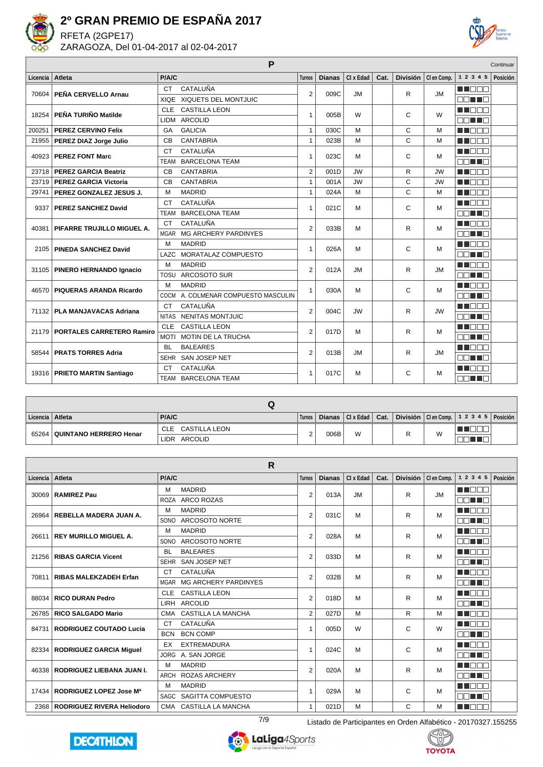

RFETA (2GPE17) ZARAGOZA, Del 01-04-2017 al 02-04-2017



|          |                                   |              | P                              |                |               |           |      |                 |             |               | Continuar |
|----------|-----------------------------------|--------------|--------------------------------|----------------|---------------|-----------|------|-----------------|-------------|---------------|-----------|
| Licencia | Atleta                            | P/A/C        |                                | <b>Turnos</b>  | <b>Dianas</b> | CI x Edad | Cat. | <b>División</b> | CI en Comp. | 1 2 3 4 5     | Posición  |
|          | 70604 PEÑA CERVELLO Arnau         | <b>CT</b>    | CATALUÑA                       | $\overline{2}$ | 009C          | <b>JM</b> |      | R.              | <b>JM</b>   | M I DE L      |           |
|          |                                   | <b>XIQE</b>  | XIQUETS DEL MONTJUIC           |                |               |           |      |                 |             | nn nn n       |           |
| 18254    | PEÑA TURIÑO Matilde               | CLE          | <b>CASTILLA LEON</b>           | $\mathbf{1}$   | 005B          | W         |      | C               | W           | n de B        |           |
|          |                                   | <b>LIDM</b>  | <b>ARCOLID</b>                 |                |               |           |      |                 |             | <b>NNHH</b>   |           |
| 200251   | <b>PEREZ CERVINO Felix</b>        | GA           | <b>GALICIA</b>                 | $\mathbf{1}$   | 030C          | M         |      | $\mathsf{C}$    | M           | n na m        |           |
| 21955    | <b>PEREZ DIAZ Jorge Julio</b>     | <b>CB</b>    | <b>CANTABRIA</b>               | $\mathbf{1}$   | 023B          | M         |      | C               | M           | <b>HERRIA</b> |           |
| 40923    | <b>PEREZ FONT Marc</b>            | <b>CT</b>    | CATALUÑA                       | 1              | 023C          | M         |      | C               | M           | MN OO O       |           |
|          |                                   | <b>TEAM</b>  | <b>BARCELONA TEAM</b>          |                |               |           |      |                 |             | <b>NNHH</b>   |           |
|          | 23718   PEREZ GARCIA Beatriz      | <b>CB</b>    | <b>CANTABRIA</b>               | $\overline{2}$ | 001D          | <b>JW</b> |      | R               | <b>JW</b>   | MA NA N       |           |
| 23719    | <b>PEREZ GARCIA Victoria</b>      | CB           | <b>CANTABRIA</b>               | $\mathbf{1}$   | 001A          | <b>JW</b> |      | C               | <b>JW</b>   | n nana        |           |
| 29741    | PEREZ GONZALEZ JESUS J.           | M            | <b>MADRID</b>                  | $\mathbf{1}$   | 024A          | M         |      | C               | M           | M DE S        |           |
| 9337     | <b>PEREZ SANCHEZ David</b>        | <b>CT</b>    | CATALUÑA                       | 1              | 021C          | M         |      | C               | M           | <b>READER</b> |           |
|          |                                   | <b>TEAM</b>  | <b>BARCELONA TEAM</b>          |                |               |           |      |                 |             | mmmmmm        |           |
| 40381    | PIFARRE TRUJILLO MIGUEL A.        | <b>CT</b>    | CATALUÑA                       | $\overline{2}$ | 033B          | M         |      | R               | M           | n Too         |           |
|          |                                   | <b>MGAR</b>  | <b>MG ARCHERY PARDINYES</b>    |                |               |           |      |                 |             | <b>RENTE</b>  |           |
| 2105     | <b>PINEDA SANCHEZ David</b>       | M            | <b>MADRID</b>                  | $\mathbf{1}$   | 026A          | M         |      | C               | M           | MA NATIONAL   |           |
|          |                                   | LAZC         | MORATALAZ COMPUESTO            |                |               |           |      |                 |             | TELET         |           |
|          | 31105   PINERO HERNANDO Ignacio   | M            | <b>MADRID</b>                  | $\overline{2}$ | 012A          | <b>JM</b> |      | R.              | <b>JM</b>   | n na m        |           |
|          |                                   | <b>TOSU</b>  | ARCOSOTO SUR                   |                |               |           |      |                 |             | nn an D       |           |
| 46570    | PIQUERAS ARANDA Ricardo           | M            | <b>MADRID</b>                  | $\mathbf{1}$   | 030A          | M         |      | C               | M           | MA DEL T      |           |
|          |                                   | COCM         | A. COLMENAR COMPUESTO MASCULIN |                |               |           |      |                 |             | man ma        |           |
|          | 71132   PLA MANJAVACAS Adriana    | <b>CT</b>    | CATALUÑA                       | $\overline{2}$ | 004C          | <b>JW</b> |      | R.              | <b>JW</b>   | n de e        |           |
|          |                                   | <b>NITAS</b> | <b>NENITAS MONTJUIC</b>        |                |               |           |      |                 |             | <b>RELETE</b> |           |
|          | 21179   PORTALES CARRETERO Ramiro | <b>CLE</b>   | <b>CASTILLA LEON</b>           | $\overline{2}$ | 017D          | M         |      | R               | M           | MN 880        |           |
|          |                                   |              | MOTI MOTIN DE LA TRUCHA        |                |               |           |      |                 |             | MA HER        |           |
| 58544    | <b>PRATS TORRES Adria</b>         | <b>BL</b>    | <b>BALEARES</b>                | 2              | 013B          | <b>JM</b> |      | R               | <b>JM</b>   | n Too         |           |
|          |                                   | <b>SEHR</b>  | SAN JOSEP NET                  |                |               |           |      |                 |             | NN TN         |           |
|          | 19316   PRIETO MARTIN Santiago    | <b>CT</b>    | CATALUÑA                       | $\mathbf{1}$   | 017C          | M         |      | C               | M           | <b>REDUCT</b> |           |
|          |                                   |              | TEAM BARCELONA TEAM            |                |               |           |      |                 |             | nn nn n       |           |

| Licencia   Atleta |                                | <b>P/A/C</b>      | Turnos |      | Dianas $ $ Cl x Edad $ $ Cat. $ $ |  |   | División   Clen Comp. $\vert$ 1 2 3 4 5   Posición |  |
|-------------------|--------------------------------|-------------------|--------|------|-----------------------------------|--|---|----------------------------------------------------|--|
|                   | 65264   QUINTANO HERRERO Henar | CLE CASTILLA LEON |        | 006B | W                                 |  | W |                                                    |  |
|                   |                                | LIDR ARCOLID      |        |      |                                   |  |   |                                                    |  |

|          |                                   | R                                          |                |               |           |      |                 |             |              |          |
|----------|-----------------------------------|--------------------------------------------|----------------|---------------|-----------|------|-----------------|-------------|--------------|----------|
| Licencia | Atleta                            | P/A/C                                      | <b>Turnos</b>  | <b>Dianas</b> | CI x Edad | Cat. | <b>División</b> | CI en Comp. | 1 2 3 4 5    | Posición |
| 30069    | <b>RAMIREZ Pau</b>                | <b>MADRID</b><br>м                         | 2              | 013A          | <b>JM</b> |      | R               | <b>JM</b>   | n din d      |          |
|          |                                   | <b>ARCO ROZAS</b><br><b>ROZA</b>           |                |               |           |      |                 |             | nn an a      |          |
| 26964    | REBELLA MADERA JUAN A.            | <b>MADRID</b><br>M                         | 2              | 031C          | M         |      | R               | M           | n na m       |          |
|          |                                   | ARCOSOTO NORTE<br>SONO                     |                |               |           |      |                 |             | nn an L      |          |
| 26611    | <b>REY MURILLO MIGUEL A.</b>      | <b>MADRID</b><br>M                         | $\overline{2}$ | 028A          | M         |      | R               | M           | n din di     |          |
|          |                                   | ARCOSOTO NORTE<br>SONO                     |                |               |           |      |                 |             | ┓<br>T FI    |          |
| 21256    | <b>RIBAS GARCIA Vicent</b>        | <b>BALEARES</b><br><b>BL</b>               | $\overline{2}$ | 033D          | M         |      | R               | M           | a ka         |          |
|          |                                   | SAN JOSEP NET<br><b>SEHR</b>               |                |               |           |      |                 |             | mmı<br>a pri |          |
| 70811    | <b>RIBAS MALEKZADEH Erfan</b>     | CATALUÑA<br><b>CT</b>                      | $\overline{2}$ | 032B          | M         |      | R               | M           | a katika M   |          |
|          |                                   | <b>MG ARCHERY PARDINYES</b><br><b>MGAR</b> |                |               |           |      |                 |             | 70 O O O     |          |
| 88034    | <b>RICO DURAN Pedro</b>           | <b>CASTILLA LEON</b><br><b>CLE</b>         | $\overline{2}$ | 018D          | M         |      | R               | M           | U INDI       |          |
|          |                                   | ARCOLID<br><b>LIRH</b>                     |                |               |           |      |                 |             | ا کا کا ک    |          |
| 26785    | <b>RICO SALGADO Mario</b>         | CASTILLA LA MANCHA<br><b>CMA</b>           | 2              | 027D          | M         |      | R               | M           | a ka         |          |
| 84731    | <b>RODRIGUEZ COUTADO Lucia</b>    | CATALUÑA<br><b>CT</b>                      | $\overline{1}$ | 005D          | W         |      | C               | W           | T E E E      |          |
|          |                                   | <b>BCN COMP</b><br><b>BCN</b>              |                |               |           |      |                 |             | a port       |          |
| 82334    | <b>RODRIGUEZ GARCIA Miguel</b>    | <b>EXTREMADURA</b><br>EX                   | 1              | 024C          | M         |      | C               | M           | TEN          |          |
|          |                                   | A. SAN JORGE<br><b>JORG</b>                |                |               |           |      |                 |             | a populati   |          |
| 46338    | RODRIGUEZ LIEBANA JUAN I.         | <b>MADRID</b><br>M                         | $\overline{2}$ | 020A          | M         |      | R               | M           | TITOL        |          |
|          |                                   | <b>ROZAS ARCHERY</b><br>ARCH               |                |               |           |      |                 |             | - 11 - 11    |          |
| 17434    | RODRIGUEZ LOPEZ Jose Ma           | <b>MADRID</b><br>M                         | 1              | 029A          | M         |      | C               | M           | u n          |          |
|          |                                   | SAGITTA COMPUESTO<br><b>SAGC</b>           |                |               |           |      |                 |             | a mats       |          |
|          | 2368   RODRIGUEZ RIVERA Heliodoro | CASTILLA LA MANCHA<br>CMA                  | $\mathbf{1}$   | 021D          | м         |      | C               | M           | a pr         |          |





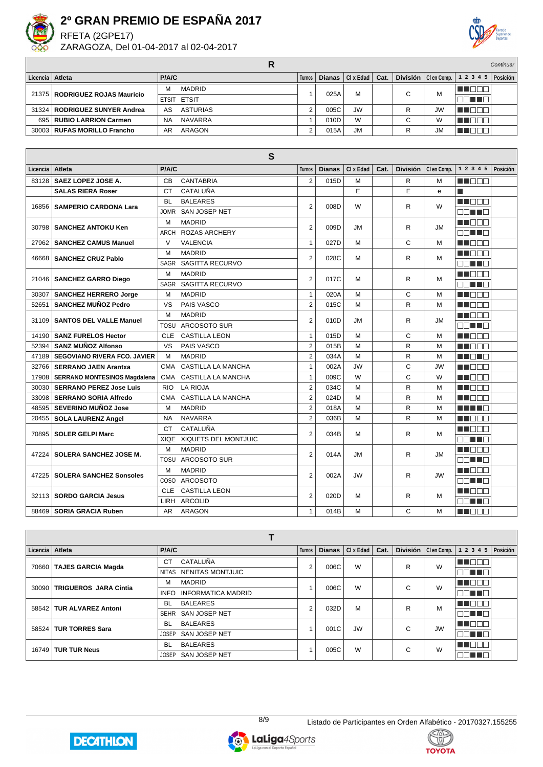

RFETA (2GPE17) ZARAGOZA, Del 01-04-2017 al 02-04-2017



|                   |                                  |                             |          |      |                            |        |           |                                   | Continuar       |
|-------------------|----------------------------------|-----------------------------|----------|------|----------------------------|--------|-----------|-----------------------------------|-----------------|
| Licencia   Atleta |                                  | <b>P/A/C</b>                | Turnos I |      | Dianas $ Clx$ Edad $ Cat.$ |        |           | División $ $ Clen Comp. $ 12345 $ | <b>Posición</b> |
|                   | 21375   RODRIGUEZ ROJAS Mauricio | <b>MADRID</b><br>м          |          | 025A | М                          | $\sim$ | M         | <u> III de la </u>                |                 |
|                   |                                  | <b>ETSIT ETSIT</b>          |          |      |                            |        |           | TELEL                             |                 |
|                   | 31324   RODRIGUEZ SUNYER Andrea  | <b>ASTURIAS</b><br>AS       |          | 005C | <b>JW</b>                  |        | <b>JW</b> | <b>RATIO</b>                      |                 |
|                   | 695   RUBIO LARRION Carmen       | <b>NAVARRA</b><br><b>NA</b> |          | 010D | W                          | $\sim$ | W         | UN DIT                            |                 |
|                   | 30003   RUFAS MORILLO Francho    | ARAGON<br>AR                |          | 015A | JM                         |        | JM.       | TELET                             |                 |

| S        |                                     |             |                           |                |               |           |      |   |                       |                 |          |
|----------|-------------------------------------|-------------|---------------------------|----------------|---------------|-----------|------|---|-----------------------|-----------------|----------|
| Licencia | Atleta                              | P/A/C       |                           | <b>Turnos</b>  | <b>Dianas</b> | CI x Edad | Cat. |   | División   Clen Comp. | 1 2 3 4 5       | Posición |
| 83128    | SAEZ LOPEZ JOSE A.                  | <b>CB</b>   | <b>CANTABRIA</b>          | $\overline{2}$ | 015D          | M         |      | R | м                     | M NAT           |          |
|          | <b>SALAS RIERA Roser</b>            | <b>CT</b>   | CATALUÑA                  |                |               | E         |      | E | e                     | П               |          |
| 16856    | <b>SAMPERIO CARDONA Lara</b>        | <b>BL</b>   | <b>BALEARES</b>           | 2              | 008D          | W         |      | R | W                     | M BER           |          |
|          |                                     | <b>JOMR</b> | SAN JOSEP NET             |                |               |           |      |   |                       | an na           |          |
| 30798    | <b>SANCHEZ ANTOKU Ken</b>           | M           | <b>MADRID</b>             | $\overline{2}$ | 009D          | <b>JM</b> |      | R | <b>JM</b>             | <b>REFERE</b>   |          |
|          |                                     | <b>ARCH</b> | <b>ROZAS ARCHERY</b>      |                |               |           |      |   |                       | nn an D         |          |
| 27962    | <b>SANCHEZ CAMUS Manuel</b>         | $\vee$      | <b>VALENCIA</b>           | $\mathbf{1}$   | 027D          | M         |      | C | M                     | <b>HERRIA</b>   |          |
| 46668    | <b>SANCHEZ CRUZ Pablo</b>           | M           | <b>MADRID</b>             | $\overline{2}$ | 028C          | М         |      | R | M                     | MN 888          |          |
|          |                                     | <b>SAGR</b> | <b>SAGITTA RECURVO</b>    |                |               |           |      |   |                       | ma an a         |          |
| 21046    | <b>SANCHEZ GARRO Diego</b>          | M           | <b>MADRID</b>             | $\overline{2}$ | 017C          | M         |      | R | M                     | MA BER          |          |
|          |                                     | <b>SAGR</b> | SAGITTA RECURVO           |                |               |           |      |   |                       | e di line       |          |
| 30307    | <b>SANCHEZ HERRERO Jorge</b>        | M           | <b>MADRID</b>             | $\mathbf{1}$   | 020A          | M         |      | C | M                     | MA DE O         |          |
| 52651    | <b>SANCHEZ MUÑOZ Pedro</b>          | VS          | PAIS VASCO                | $\overline{2}$ | 015C          | M         |      | R | M                     | <b>RENATION</b> |          |
| 31109    | <b>SANTOS DEL VALLE Manuel</b>      | M           | <b>MADRID</b>             | $\overline{2}$ | 010D          | <b>JM</b> |      | R | JM.                   | MA NA N         |          |
|          |                                     | TOSU        | <b>ARCOSOTO SUR</b>       |                |               |           |      |   |                       | an Tin          |          |
| 14190    | <b>SANZ FURELOS Hector</b>          | <b>CLE</b>  | <b>CASTILLA LEON</b>      | $\mathbf{1}$   | 015D          | M         |      | C | M                     | M DE S          |          |
| 52394    | <b>SANZ MUÑOZ Alfonso</b>           | VS          | PAIS VASCO                | 2              | 015B          | M         |      | R | M                     | MN DE B         |          |
| 47189    | <b>SEGOVIANO RIVERA FCO. JAVIER</b> | M           | <b>MADRID</b>             | $\overline{2}$ | 034A          | M         |      | R | M                     | MA MARIT        |          |
| 32766    | <b>SERRANO JAEN Arantxa</b>         | <b>CMA</b>  | <b>CASTILLA LA MANCHA</b> | $\mathbf{1}$   | 002A          | <b>JW</b> |      | C | <b>JW</b>             | M BER           |          |
| 17908    | <b>SERRANO MONTESINOS Magdalena</b> | <b>CMA</b>  | <b>CASTILLA LA MANCHA</b> | $\mathbf{1}$   | 009C          | W         |      | C | W                     | MA DE O         |          |
| 30030    | <b>SERRANO PEREZ Jose Luis</b>      | <b>RIO</b>  | <b>LA RIOJA</b>           | $\overline{2}$ | 034C          | M         |      | R | M                     | UN DELL'        |          |
| 33098    | <b>SERRANO SORIA Alfredo</b>        | <b>CMA</b>  | <b>CASTILLA LA MANCHA</b> | $\overline{2}$ | 024D          | M         |      | R | M                     | <b>RENARE</b>   |          |
| 48595    | <b>SEVERINO MUÑOZ Jose</b>          | M           | <b>MADRID</b>             | $\overline{2}$ | 018A          | M         |      | R | M                     | MA MAR          |          |
| 20455    | <b>SOLA LAURENZ Angel</b>           | <b>NA</b>   | <b>NAVARRA</b>            | $\overline{2}$ | 036B          | M         |      | R | M                     | MA DE O         |          |
| 70895    | <b>SOLER GELPI Marc</b>             | <b>CT</b>   | CATALUÑA                  | $\overline{2}$ | 034B          | м         |      | R | м                     | M DE O          |          |
|          |                                     | <b>XIQE</b> | XIQUETS DEL MONTJUIC      |                |               |           |      |   |                       | an na           |          |
| 47224    | <b>SOLERA SANCHEZ JOSE M.</b>       | M           | <b>MADRID</b>             | $\overline{2}$ | 014A          | <b>JM</b> |      | R | <b>JM</b>             | M BER           |          |
|          |                                     | <b>TOSU</b> | ARCOSOTO SUR              |                |               |           |      |   |                       | EN HE           |          |
| 472251   | <b>SOLERA SANCHEZ Sonsoles</b>      | M           | <b>MADRID</b>             | $\overline{2}$ | 002A          | <b>JW</b> |      | R | <b>JW</b>             | M DE O          |          |
|          |                                     | COSO        | <b>ARCOSOTO</b>           |                |               |           |      |   |                       | MA MARI         |          |
| 32113    | <b>SORDO GARCIA Jesus</b>           | <b>CLE</b>  | <b>CASTILLA LEON</b>      | $\overline{2}$ | 020D          | M         |      | R | м                     | M BEE           |          |
|          |                                     | LIRH        | <b>ARCOLID</b>            |                |               |           |      |   |                       | an na           |          |
|          | 88469   SORIA GRACIA Ruben          | AR.         | <b>ARAGON</b>             | $\mathbf{1}$   | 014B          | M         |      | C | M                     | M BEC           |          |

| Licencia   Atleta |                              | P/A/C                             | <b>Turnos</b> | <b>Dianas</b> | CI x Edad | Cat. |   | División   Clen Comp. | 1 2 3 4 5        | Posición |
|-------------------|------------------------------|-----------------------------------|---------------|---------------|-----------|------|---|-----------------------|------------------|----------|
| 70660             | <b>TAJES GARCIA Magda</b>    | CATALUÑA<br><b>CT</b>             | 2             | 006C          | W         |      | R | W                     | N N O O (        |          |
|                   |                              | NITAS NENITAS MONTJUIC            |               |               |           |      |   |                       | DE TE            |          |
| 30090             | <b>TRIGUEROS JARA Cintia</b> | <b>MADRID</b><br>М                |               | 006C          | W         |      | C | W                     | M I O O L        |          |
|                   |                              | <b>INFORMATICA MADRID</b><br>INFO |               |               |           |      |   |                       | 80 T G           |          |
|                   | 58542   TUR ALVAREZ Antoni   | <b>BALEARES</b><br><b>BL</b>      | 2             | 032D          | M         |      | R | M                     | N NOO O          |          |
|                   |                              | SAN JOSEP NET<br><b>SEHR</b>      |               |               |           |      |   |                       | TELET            |          |
| 58524             | <b>TUR TORRES Sara</b>       | <b>BALEARES</b><br><b>BL</b>      |               | 001C          | <b>JW</b> |      | C | <b>JW</b>             | MA MATI          |          |
|                   |                              | SAN JOSEP NET<br><b>JOSEP</b>     |               |               |           |      |   |                       | 70 O D D         |          |
| 16749             | <b>TUR TUR Neus</b>          | <b>BALEARES</b><br><b>BL</b>      |               | 005C          | W         |      | C | W                     | n na Bibli       |          |
|                   |                              | SAN JOSEP NET<br><b>JOSEP</b>     |               |               |           |      |   |                       | n Timba da Timba |          |